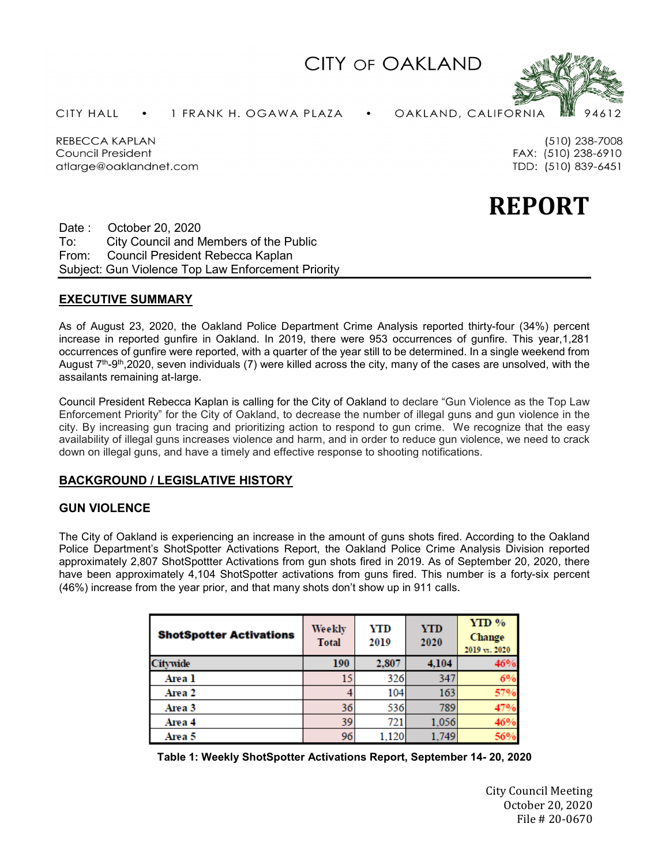CITY OF OAKLAND



**CITY HALL** 1 FRANK H. OGAWA PLAZA OAKLAND, CALIFORNIA

(510) 238-7008 FAX: (510) 238-6910

TDD: (510) 839-6451

REBECCA KAPLAN Council President atlarge@oaklandnet.com

**REPORT**

Date : October 20, 2020 To: City Council and Members of the Public From: Council President Rebecca Kaplan Subject: Gun Violence Top Law Enforcement Priority

# **EXECUTIVE SUMMARY**

As of August 23, 2020, the Oakland Police Department Crime Analysis reported thirty-four (34%) percent increase in reported gunfire in Oakland. In 2019, there were 953 occurrences of gunfire. This year,1,281 occurrences of gunfire were reported, with a quarter of the year still to be determined. In a single weekend from August 7th-9th,2020, seven individuals (7) were killed across the city, many of the cases are unsolved, with the assailants remaining at-large.

Council President Rebecca Kaplan is calling for the City of Oakland to declare "Gun Violence as the Top Law Enforcement Priority" for the City of Oakland, to decrease the number of illegal guns and gun violence in the city. By increasing gun tracing and prioritizing action to respond to gun crime. We recognize that the easy availability of illegal guns increases violence and harm, and in order to reduce gun violence, we need to crack down on illegal guns, and have a timely and effective response to shooting notifications.

# **BACKGROUND / LEGISLATIVE HISTORY**

# **GUN VIOLENCE**

The City of Oakland is experiencing an increase in the amount of guns shots fired. According to the Oakland Police Department's ShotSpotter Activations Report, the Oakland Police Crime Analysis Division reported approximately 2,807 ShotSpottter Activations from gun shots fired in 2019. As of September 20, 2020, there have been approximately 4,104 ShotSpotter activations from guns fired. This number is a forty-six percent (46%) increase from the year prior, and that many shots don't show up in 911 calls.

| <b>ShotSpotter Activations</b> | Weekly<br><b>Total</b> | YTD<br>2019 | YTD<br>2020 | YTD %<br>Change<br>2019 vs. 2020 |
|--------------------------------|------------------------|-------------|-------------|----------------------------------|
| <b>Citywide</b>                | 190                    | 2,807       | 4,104       | 46%                              |
| Area 1                         | 15                     | 326         | 347         | 6%                               |
| Area 2                         |                        | 104         | 163         | 57%                              |
| Area 3                         | 36                     | 536         | 789         |                                  |
| Area 4                         | 39                     | 721         | 1,056       | 46%                              |
| Area 5                         | 96                     | 1,120       | 1,749       | 56%                              |

| Table 1: Weekly ShotSpotter Activations Report, September 14- 20, 2020 |  |  |  |
|------------------------------------------------------------------------|--|--|--|
|------------------------------------------------------------------------|--|--|--|

City Council Meeting October 20, 2020 File # 20-0670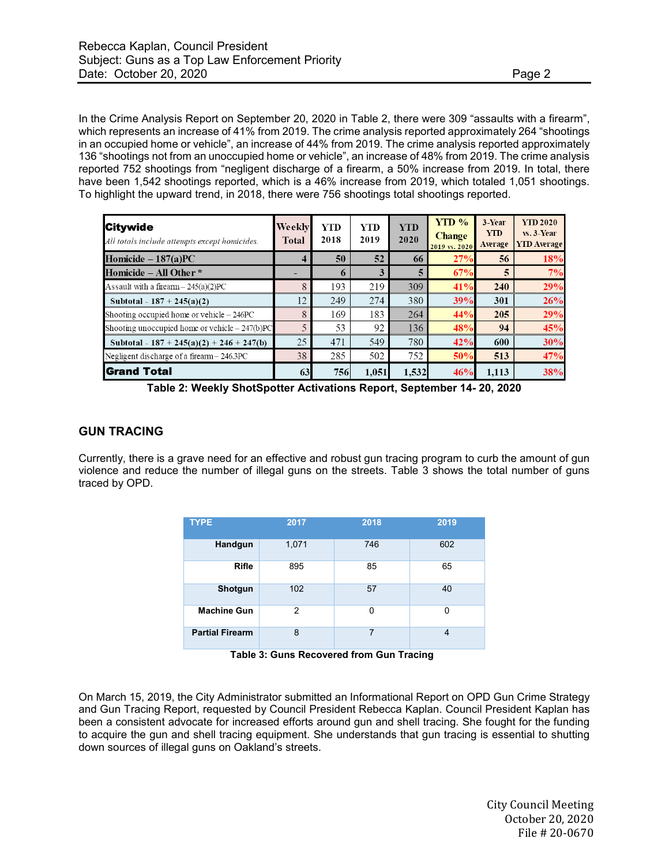In the Crime Analysis Report on September 20, 2020 in Table 2, there were 309 "assaults with a firearm", which represents an increase of 41% from 2019. The crime analysis reported approximately 264 "shootings in an occupied home or vehicle", an increase of 44% from 2019. The crime analysis reported approximately 136 "shootings not from an unoccupied home or vehicle", an increase of 48% from 2019. The crime analysis reported 752 shootings from "negligent discharge of a firearm, a 50% increase from 2019. In total, there have been 1,542 shootings reported, which is a 46% increase from 2019, which totaled 1,051 shootings. To highlight the upward trend, in 2018, there were 756 shootings total shootings reported.

| <b>Citywide</b><br>All totals include attempts except homicides. | Weekly<br><b>Total</b> | YTD<br>2018 | <b>YTD</b><br>2019 | <b>YTD</b><br>2020 | $YTD\%$<br><b>Change</b><br>2019 vs. 2020 | 3-Year<br><b>YTD</b><br>Average | <b>YTD 2020</b><br>$vs. 3-Year$<br><b>YID</b> Average |
|------------------------------------------------------------------|------------------------|-------------|--------------------|--------------------|-------------------------------------------|---------------------------------|-------------------------------------------------------|
| Homicide $-187(a)PC$                                             | 4                      | 50          | 52                 | 66                 | 27%                                       | 56                              | 18%                                                   |
| Homicide – All Other *                                           |                        | $\mathbf o$ | 3                  | 5                  | 67%                                       | 5                               | 7%                                                    |
| Assault with a firearm $- 245(a)(2)PC$                           | 8                      | 193         | 219                | 309                | 41%                                       | 240                             | 29%                                                   |
| Subtotal - $187 + 245(a)(2)$                                     | 12                     | 249         | 274                | 380                | 39%                                       | 301                             | 26%                                                   |
| Shooting occupied home or vehicle $-246PC$                       | 8                      | 169         | 183                | 264                | 44%                                       | 205                             | 29%                                                   |
| Shooting unoccupied home or vehicle $-247(b)PC$                  | 5                      | 53          | 92                 | 136                | 48%                                       | 94                              | 45%                                                   |
| Subtotal - 187 + 245(a)(2) + 246 + 247(b)                        | 25                     | 471         | 549                | 780                | 42%                                       | 600                             | 30%                                                   |
| Negligent discharge of a firearm - 246.3PC                       | 38                     | 285         | 502                | 752                | 50%                                       | 513                             | 47%                                                   |
| <b>Grand Total</b>                                               | 63                     | 756         | 1,051              | 1,532              | 46%                                       | 1.113                           | 38%                                                   |

**Table 2: Weekly ShotSpotter Activations Report, September 14- 20, 2020**

## **GUN TRACING**

Currently, there is a grave need for an effective and robust gun tracing program to curb the amount of gun violence and reduce the number of illegal guns on the streets. Table 3 shows the total number of guns traced by OPD.

| <b>TYPE</b>            | 2017  | 2018 | 2019 |
|------------------------|-------|------|------|
| Handgun                | 1,071 | 746  | 602  |
| <b>Rifle</b>           | 895   | 85   | 65   |
| Shotgun                | 102   | 57   | 40   |
| <b>Machine Gun</b>     | 2     | 0    | O    |
| <b>Partial Firearm</b> | 8     | 7    | 4    |

 **Table 3: Guns Recovered from Gun Tracing**

On March 15, 2019, the City Administrator submitted an Informational Report on OPD Gun Crime Strategy and Gun Tracing Report, requested by Council President Rebecca Kaplan. Council President Kaplan has been a consistent advocate for increased efforts around gun and shell tracing. She fought for the funding to acquire the gun and shell tracing equipment. She understands that gun tracing is essential to shutting down sources of illegal guns on Oakland's streets.

> City Council Meeting October 20, 2020 File # 20-0670